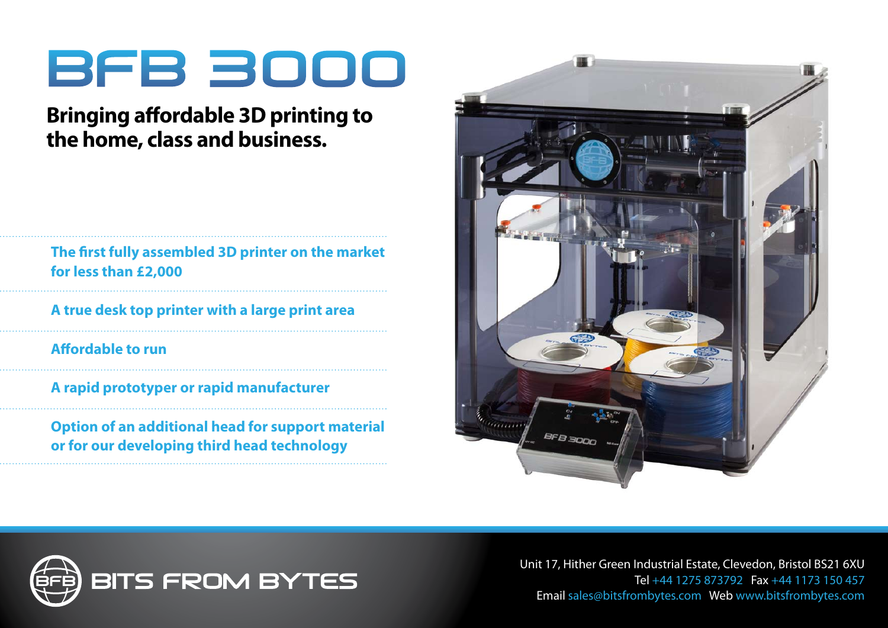# BFB 3000

## **Bringing affordable 3D printing to the home, class and business.**

### **The first fully assembled 3D printer on the market for less than £2,000**

**A true desk top printer with a large print area** 

**Affordable to run**

**A rapid prototyper or rapid manufacturer** 

**Option of an additional head for support material or for our developing third head technology**





Unit 17, Hither Green Industrial Estate, Clevedon, Bristol BS21 6XU Tel +44 1275 873792 Fax +44 1173 150 457 Email sales@bitsfrombytes.com Web www.bitsfrombytes.com